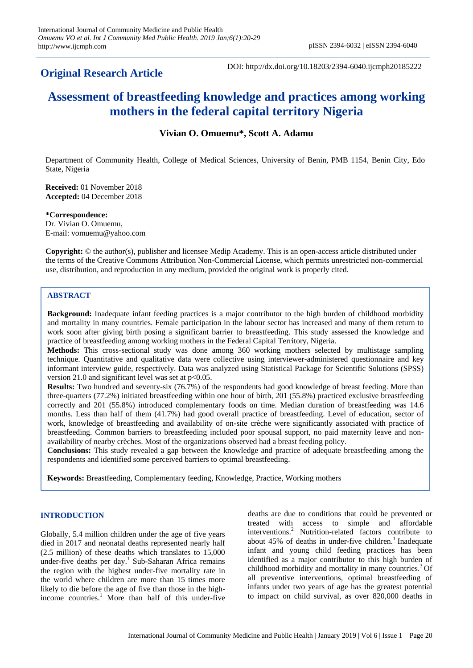# **Original Research Article**

DOI: http://dx.doi.org/10.18203/2394-6040.ijcmph20185222

# **Assessment of breastfeeding knowledge and practices among working mothers in the federal capital territory Nigeria**

# **Vivian O. Omuemu\*, Scott A. Adamu**

Department of Community Health, College of Medical Sciences, University of Benin, PMB 1154, Benin City, Edo State, Nigeria

**Received:** 01 November 2018 **Accepted:** 04 December 2018

**\*Correspondence:** Dr. Vivian O. Omuemu, E-mail: vomuemu@yahoo.com

**Copyright:** © the author(s), publisher and licensee Medip Academy. This is an open-access article distributed under the terms of the Creative Commons Attribution Non-Commercial License, which permits unrestricted non-commercial use, distribution, and reproduction in any medium, provided the original work is properly cited.

# **ABSTRACT**

**Background:** Inadequate infant feeding practices is a major contributor to the high burden of childhood morbidity and mortality in many countries. Female participation in the labour sector has increased and many of them return to work soon after giving birth posing a significant barrier to breastfeeding. This study assessed the knowledge and practice of breastfeeding among working mothers in the Federal Capital Territory, Nigeria.

**Methods:** This cross-sectional study was done among 360 working mothers selected by multistage sampling technique. Quantitative and qualitative data were collective using interviewer-administered questionnaire and key informant interview guide, respectively. Data was analyzed using Statistical Package for Scientific Solutions (SPSS) version 21.0 and significant level was set at  $p<0.05$ .

**Results:** Two hundred and seventy-six (76.7%) of the respondents had good knowledge of breast feeding. More than three-quarters (77.2%) initiated breastfeeding within one hour of birth, 201 (55.8%) practiced exclusive breastfeeding correctly and 201 (55.8%) introduced complementary foods on time. Median duration of breastfeeding was 14.6 months. Less than half of them (41.7%) had good overall practice of breastfeeding. Level of education, sector of work, knowledge of breastfeeding and availability of on-site crèche were significantly associated with practice of breastfeeding. Common barriers to breastfeeding included poor spousal support, no paid maternity leave and nonavailability of nearby crèches. Most of the organizations observed had a breast feeding policy.

**Conclusions:** This study revealed a gap between the knowledge and practice of adequate breastfeeding among the respondents and identified some perceived barriers to optimal breastfeeding.

**Keywords:** Breastfeeding, Complementary feeding, Knowledge, Practice, Working mothers

# **INTRODUCTION**

Globally, 5.4 million children under the age of five years died in 2017 and neonatal deaths represented nearly half (2.5 million) of these deaths which translates to 15,000 under-five deaths per day.<sup>1</sup> Sub-Saharan Africa remains the region with the highest under-five mortality rate in the world where children are more than 15 times more likely to die before the age of five than those in the highincome countries.<sup>1</sup> More than half of this under-five deaths are due to conditions that could be prevented or treated with access to simple and affordable interventions.<sup>2</sup> Nutrition-related factors contribute to about  $45\%$  of deaths in under-five children.<sup>1</sup> Inadequate infant and young child feeding practices has been identified as a major contributor to this high burden of childhood morbidity and mortality in many countries.<sup>3</sup> Of all preventive interventions, optimal breastfeeding of infants under two years of age has the greatest potential to impact on child survival, as over 820,000 deaths in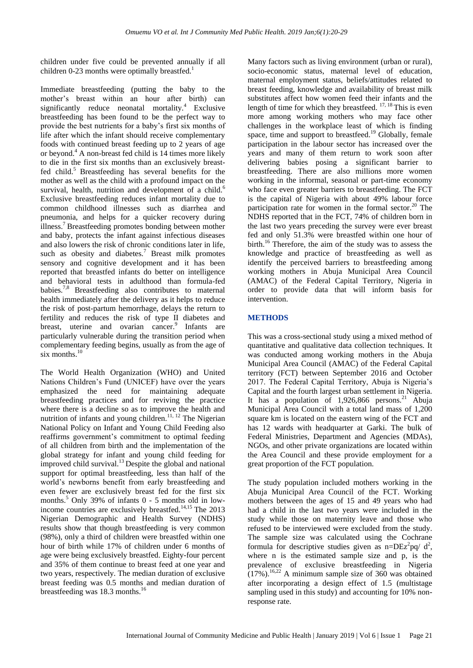children under five could be prevented annually if all children 0-23 months were optimally breastfed.<sup>1</sup>

Immediate breastfeeding (putting the baby to the mother's breast within an hour after birth) can significantly reduce neonatal mortality.<sup>4</sup> Exclusive breastfeeding has been found to be the perfect way to provide the best nutrients for a baby's first six months of life after which the infant should receive complementary foods with continued breast feeding up to 2 years of age or beyond.<sup>4</sup> A non-breast fed child is 14 times more likely to die in the first six months than an exclusively breastfed child.<sup>5</sup> Breastfeeding has several benefits for the mother as well as the child with a profound impact on the survival, health, nutrition and development of a child. $<sup>6</sup>$ </sup> Exclusive breastfeeding reduces infant mortality due to common childhood illnesses such as diarrhea and pneumonia, and helps for a quicker recovery during illness.<sup>7</sup> Breastfeeding promotes bonding between mother and baby, protects the infant against infectious diseases and also lowers the risk of chronic conditions later in life, such as obesity and diabetes. $7$  Breast milk promotes sensory and cognitive development and it has been reported that breastfed infants do better on intelligence and behavioral tests in adulthood than formula-fed babies.<sup>7,8</sup> Breastfeeding also contributes to maternal health immediately after the delivery as it helps to reduce the risk of post-partum hemorrhage, delays the return to fertility and reduces the risk of type II diabetes and breast, uterine and ovarian cancer.<sup>9</sup> Infants are particularly vulnerable during the transition period when complementary feeding begins, usually as from the age of six months. $10$ 

The World Health Organization (WHO) and United Nations Children's Fund (UNICEF) have over the years emphasized the need for maintaining adequate breastfeeding practices and for reviving the practice where there is a decline so as to improve the health and nutrition of infants and young children.<sup>11, 12</sup> The Nigerian National Policy on Infant and Young Child Feeding also reaffirms government's commitment to optimal feeding of all children from birth and the implementation of the global strategy for infant and young child feeding for improved child survival.<sup>13</sup> Despite the global and national support for optimal breastfeeding, less than half of the world's newborns benefit from early breastfeeding and even fewer are exclusively breast fed for the first six months.<sup>5</sup> Only 39% of infants 0 - 5 months old in lowincome countries are exclusively breastfed.14,15 The 2013 Nigerian Demographic and Health Survey (NDHS) results show that though breastfeeding is very common (98%), only a third of children were breastfed within one hour of birth while 17% of children under 6 months of age were being exclusively breastfed. Eighty-four percent and 35% of them continue to breast feed at one year and two years, respectively. The median duration of exclusive breast feeding was 0.5 months and median duration of breastfeeding was 18.3 months.<sup>16</sup>

Many factors such as living environment (urban or rural), socio-economic status, maternal level of education, maternal employment status, beliefs/attitudes related to breast feeding, knowledge and availability of breast milk substitutes affect how women feed their infants and the length of time for which they breastfeed.  $17, 18$  This is even more among working mothers who may face other challenges in the workplace least of which is finding space, time and support to breastfeed.<sup>19</sup> Globally, female participation in the labour sector has increased over the years and many of them return to work soon after delivering babies posing a significant barrier to breastfeeding. There are also millions more women working in the informal, seasonal or part-time economy who face even greater barriers to breastfeeding. The FCT is the capital of Nigeria with about 49% labour force participation rate for women in the formal sector. $20$  The NDHS reported that in the FCT, 74% of children born in the last two years preceding the survey were ever breast fed and only 51.3% were breastfed within one hour of birth.<sup>16</sup> Therefore, the aim of the study was to assess the knowledge and practice of breastfeeding as well as identify the perceived barriers to breastfeeding among working mothers in Abuja Municipal Area Council (AMAC) of the Federal Capital Territory, Nigeria in order to provide data that will inform basis for intervention.

# **METHODS**

This was a cross-sectional study using a mixed method of quantitative and qualitative data collection techniques. It was conducted among working mothers in the Abuja Municipal Area Council (AMAC) of the Federal Capital territory (FCT) between September 2016 and October 2017. The Federal Capital Territory, Abuja is Nigeria's Capital and the fourth largest urban settlement in Nigeria. It has a population of  $1,926,866$  persons.<sup>21</sup> Abuja Municipal Area Council with a total land mass of 1,200 square km is located on the eastern wing of the FCT and has 12 wards with headquarter at Garki. The bulk of Federal Ministries, Department and Agencies (MDAs), NGOs, and other private organizations are located within the Area Council and these provide employment for a great proportion of the FCT population.

The study population included mothers working in the Abuja Municipal Area Council of the FCT. Working mothers between the ages of 15 and 49 years who had had a child in the last two years were included in the study while those on maternity leave and those who refused to be interviewed were excluded from the study. The sample size was calculated using the Cochrane formula for descriptive studies given as  $n = DEz^2pq/d^2$ , where n is the estimated sample size and p, is the prevalence of exclusive breastfeeding in Nigeria  $(17\%)$ .<sup>16,22</sup> A minimum sample size of 360 was obtained after incorporating a design effect of 1.5 (multistage sampling used in this study) and accounting for 10% nonresponse rate.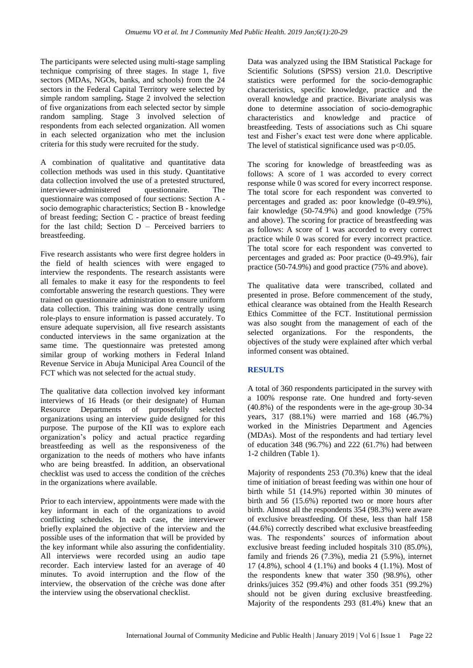The participants were selected using multi-stage sampling technique comprising of three stages. In stage 1, five sectors (MDAs, NGOs, banks, and schools) from the 24 sectors in the Federal Capital Territory were selected by simple random sampling**.** Stage 2 involved the selection of five organizations from each selected sector by simple random sampling. Stage 3 involved selection of respondents from each selected organization. All women in each selected organization who met the inclusion criteria for this study were recruited for the study.

A combination of qualitative and quantitative data collection methods was used in this study. Quantitative data collection involved the use of a pretested structured,<br>interviewer-administered questionnaire. The interviewer-administered questionnaire. The questionnaire was composed of four sections: Section A socio demographic characteristics; Section B - knowledge of breast feeding; Section C - practice of breast feeding for the last child; Section D – Perceived barriers to breastfeeding.

Five research assistants who were first degree holders in the field of health sciences with were engaged to interview the respondents. The research assistants were all females to make it easy for the respondents to feel comfortable answering the research questions. They were trained on questionnaire administration to ensure uniform data collection. This training was done centrally using role-plays to ensure information is passed accurately. To ensure adequate supervision, all five research assistants conducted interviews in the same organization at the same time. The questionnaire was pretested among similar group of working mothers in Federal Inland Revenue Service in Abuja Municipal Area Council of the FCT which was not selected for the actual study.

The qualitative data collection involved key informant interviews of 16 Heads (or their designate) of Human Resource Departments of purposefully selected organizations using an interview guide designed for this purpose. The purpose of the KII was to explore each organization's policy and actual practice regarding breastfeeding as well as the responsiveness of the organization to the needs of mothers who have infants who are being breastfed. In addition, an observational checklist was used to access the condition of the crèches in the organizations where available.

Prior to each interview, appointments were made with the key informant in each of the organizations to avoid conflicting schedules. In each case, the interviewer briefly explained the objective of the interview and the possible uses of the information that will be provided by the key informant while also assuring the confidentiality. All interviews were recorded using an audio tape recorder. Each interview lasted for an average of 40 minutes. To avoid interruption and the flow of the interview, the observation of the crèche was done after the interview using the observational checklist.

Data was analyzed using the IBM Statistical Package for Scientific Solutions (SPSS) version 21.0. Descriptive statistics were performed for the socio-demographic characteristics, specific knowledge, practice and the overall knowledge and practice. Bivariate analysis was done to determine association of socio-demographic characteristics and knowledge and practice of breastfeeding. Tests of associations such as Chi square test and Fisher's exact test were done where applicable. The level of statistical significance used was p<0.05.

The scoring for knowledge of breastfeeding was as follows: A score of 1 was accorded to every correct response while 0 was scored for every incorrect response. The total score for each respondent was converted to percentages and graded as: poor knowledge (0-49.9%), fair knowledge (50-74.9%) and good knowledge (75% and above). The scoring for practice of breastfeeding was as follows: A score of 1 was accorded to every correct practice while 0 was scored for every incorrect practice. The total score for each respondent was converted to percentages and graded as: Poor practice (0-49.9%), fair practice (50-74.9%) and good practice (75% and above).

The qualitative data were transcribed, collated and presented in prose. Before commencement of the study, ethical clearance was obtained from the Health Research Ethics Committee of the FCT. Institutional permission was also sought from the management of each of the selected organizations. For the respondents, the objectives of the study were explained after which verbal informed consent was obtained.

# **RESULTS**

A total of 360 respondents participated in the survey with a 100% response rate. One hundred and forty-seven (40.8%) of the respondents were in the age-group 30-34 years, 317 (88.1%) were married and 168 (46.7%) worked in the Ministries Department and Agencies (MDAs). Most of the respondents and had tertiary level of education 348 (96.7%) and 222 (61.7%) had between 1-2 children (Table 1).

Majority of respondents 253 (70.3%) knew that the ideal time of initiation of breast feeding was within one hour of birth while 51 (14.9%) reported within 30 minutes of birth and 56 (15.6%) reported two or more hours after birth. Almost all the respondents 354 (98.3%) were aware of exclusive breastfeeding. Of these, less than half 158 (44.6%) correctly described what exclusive breastfeeding was. The respondents' sources of information about exclusive breast feeding included hospitals 310 (85.0%), family and friends 26 (7.3%), media 21 (5.9%), internet 17 (4.8%), school 4 (1.1%) and books 4 (1.1%). Most of the respondents knew that water 350 (98.9%), other drinks/juices 352 (99.4%) and other foods 351 (99.2%) should not be given during exclusive breastfeeding. Majority of the respondents 293 (81.4%) knew that an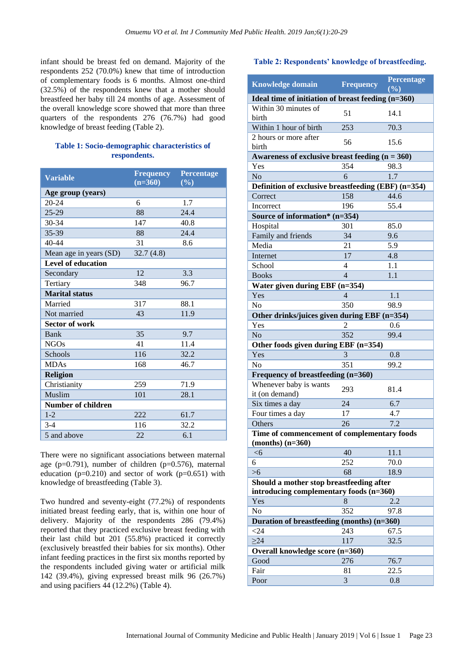infant should be breast fed on demand. Majority of the respondents 252 (70.0%) knew that time of introduction of complementary foods is 6 months. Almost one-third (32.5%) of the respondents knew that a mother should breastfeed her baby till 24 months of age. Assessment of the overall knowledge score showed that more than three quarters of the respondents 276 (76.7%) had good knowledge of breast feeding (Table 2).

#### **Table 1: Socio-demographic characteristics of respondents.**

| <b>Variable</b>           | <b>Frequency</b> | <b>Percentage</b> |
|---------------------------|------------------|-------------------|
|                           | $(n=360)$        | (%)               |
| Age group (years)         |                  |                   |
| 20-24                     | 6                | 1.7               |
| 25-29                     | 88               | 24.4              |
| 30-34                     | 147              | 40.8              |
| 35-39                     | 88               | 24.4              |
| $40 - 44$                 | 31               | 8.6               |
| Mean age in years (SD)    | 32.7(4.8)        |                   |
| <b>Level of education</b> |                  |                   |
| Secondary                 | 12               | 3.3               |
| Tertiary                  | 348              | 96.7              |
| <b>Marital</b> status     |                  |                   |
| Married                   | 317              | 88.1              |
| Not married               | 43               | 11.9              |
| <b>Sector of work</b>     |                  |                   |
| Bank                      | 35               | 9.7               |
| <b>NGOs</b>               | 41               | 11.4              |
| Schools                   | 116              | 32.2              |
| <b>MDAs</b>               | 168              | 46.7              |
| <b>Religion</b>           |                  |                   |
| Christianity              | 259              | 71.9              |
| Muslim                    | 101              | 28.1              |
| <b>Number of children</b> |                  |                   |
| $1 - 2$                   | 222              | 61.7              |
| $3-4$                     | 116              | 32.2              |
| 5 and above               | 22               | 6.1               |

There were no significant associations between maternal age (p=0.791), number of children (p=0.576), maternal education ( $p=0.210$ ) and sector of work ( $p=0.651$ ) with knowledge of breastfeeding (Table 3).

Two hundred and seventy-eight (77.2%) of respondents initiated breast feeding early, that is, within one hour of delivery. Majority of the respondents 286 (79.4%) reported that they practiced exclusive breast feeding with their last child but 201 (55.8%) practiced it correctly (exclusively breastfed their babies for six months). Other infant feeding practices in the first six months reported by the respondents included giving water or artificial milk 142 (39.4%), giving expressed breast milk 96 (26.7%) and using pacifiers 44 (12.2%) (Table 4).

#### **Table 2: Respondents' knowledge of breastfeeding.**

| <b>Knowledge domain</b>                             | <b>Frequency</b>                                     | Percentage<br>(%) |  |  |
|-----------------------------------------------------|------------------------------------------------------|-------------------|--|--|
|                                                     | Ideal time of initiation of breast feeding $(n=360)$ |                   |  |  |
| Within 30 minutes of<br>birth                       | 51                                                   | 14.1              |  |  |
| Within 1 hour of birth                              | 253                                                  | 70.3              |  |  |
| 2 hours or more after                               | 56                                                   | 15.6              |  |  |
| birth                                               |                                                      |                   |  |  |
| Awareness of exclusive breast feeding $(n = 360)$   |                                                      |                   |  |  |
| Yes                                                 | 354                                                  | 98.3              |  |  |
| No                                                  | 6                                                    | 1.7               |  |  |
| Definition of exclusive breastfeeding (EBF) (n=354) |                                                      |                   |  |  |
| Correct                                             | 158                                                  | 44.6              |  |  |
| Incorrect                                           | 196                                                  | 55.4              |  |  |
| Source of information* (n=354)                      |                                                      |                   |  |  |
| Hospital                                            | 301                                                  | 85.0              |  |  |
| Family and friends                                  | 34                                                   | 9.6               |  |  |
| Media                                               | 21                                                   | 5.9               |  |  |
| Internet                                            | 17                                                   | 4.8               |  |  |
| School                                              | $\overline{4}$                                       | 1.1               |  |  |
| <b>Books</b>                                        | $\overline{4}$                                       | 1.1               |  |  |
| Water given during EBF (n=354)                      |                                                      |                   |  |  |
| Yes                                                 | 4                                                    | 1.1               |  |  |
| N <sub>0</sub>                                      | 350                                                  | 98.9              |  |  |
| Other drinks/juices given during EBF (n=354)        |                                                      |                   |  |  |
| Yes                                                 | 2                                                    | 0.6               |  |  |
| N <sub>o</sub>                                      | 352                                                  | 99.4              |  |  |
| Other foods given during EBF (n=354)                |                                                      |                   |  |  |
| Yes                                                 | 3                                                    | 0.8               |  |  |
| N <sub>o</sub>                                      | 351                                                  | 99.2              |  |  |
| Frequency of breastfeeding (n=360)                  |                                                      |                   |  |  |
| Whenever baby is wants                              |                                                      |                   |  |  |
| it (on demand)                                      | 293                                                  | 81.4              |  |  |
| Six times a day                                     | 24                                                   | 6.7               |  |  |
| Four times a day                                    | 17                                                   | 4.7               |  |  |
| Others                                              | 26                                                   | 7.2               |  |  |
| Time of commencement of complementary foods         |                                                      |                   |  |  |
| $(months)$ $(n=360)$                                |                                                      |                   |  |  |
| < 6                                                 | 40                                                   | 11.1              |  |  |
| 6                                                   | 252                                                  | 70.0              |  |  |
| $>6$                                                | 68                                                   | 18.9              |  |  |
| Should a mother stop breastfeeding after            |                                                      |                   |  |  |
| introducing complementary foods (n=360)             |                                                      |                   |  |  |
| Yes                                                 | 8                                                    | 2.2               |  |  |
| No                                                  | 352                                                  | 97.8              |  |  |
| Duration of breastfeeding (months) $(n=360)$        |                                                      |                   |  |  |
| $<$ 24                                              | 243                                                  | 67.5              |  |  |
| $\geq$ 24                                           | 117                                                  | 32.5              |  |  |
| Overall knowledge score (n=360)                     |                                                      |                   |  |  |
| Good                                                | 276                                                  | 76.7              |  |  |
| Fair                                                | 81                                                   | 22.5              |  |  |
| Poor                                                | 3                                                    | 0.8               |  |  |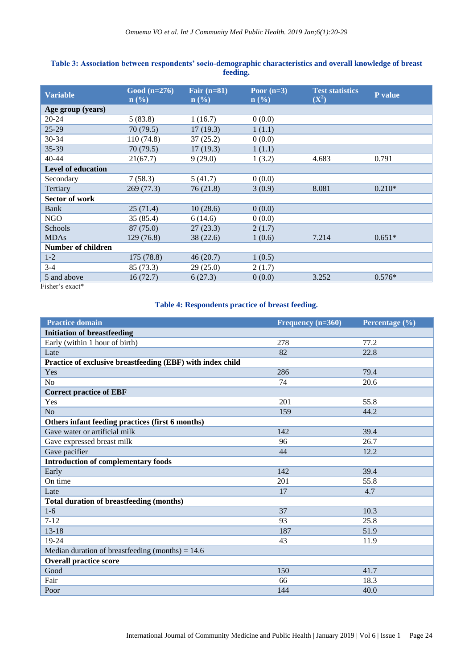| Good $(n=276)$<br>$\mathbf{n}(\%)$ | Fair $(n=81)$<br>$\mathbf{n}(\%)$ | Poor $(n=3)$<br>$\mathbf{n}(\%)$ | <b>Test statistics</b><br>$(X^2)$ | P value  |
|------------------------------------|-----------------------------------|----------------------------------|-----------------------------------|----------|
|                                    |                                   |                                  |                                   |          |
| 5(83.8)                            | 1(16.7)                           | 0(0.0)                           |                                   |          |
| 70(79.5)                           | 17(19.3)                          | 1(1.1)                           |                                   |          |
| 110(74.8)                          | 37(25.2)                          | 0(0.0)                           |                                   |          |
| 70 (79.5)                          | 17(19.3)                          | 1(1.1)                           |                                   |          |
| 21(67.7)                           | 9(29.0)                           | 1(3.2)                           | 4.683                             | 0.791    |
|                                    |                                   |                                  |                                   |          |
| 7(58.3)                            | 5(41.7)                           | 0(0.0)                           |                                   |          |
| 269(77.3)                          | 76 (21.8)                         | 3(0.9)                           | 8.081                             | $0.210*$ |
|                                    |                                   |                                  |                                   |          |
| 25(71.4)                           | 10(28.6)                          | 0(0.0)                           |                                   |          |
| 35 (85.4)                          | 6(14.6)                           | 0(0.0)                           |                                   |          |
| 87 (75.0)                          | 27(23.3)                          | 2(1.7)                           |                                   |          |
| 129 (76.8)                         | 38(22.6)                          | 1(0.6)                           | 7.214                             | $0.651*$ |
|                                    |                                   |                                  |                                   |          |
| 175 (78.8)                         | 46(20.7)                          | 1(0.5)                           |                                   |          |
| 85 (73.3)                          | 29(25.0)                          | 2(1.7)                           |                                   |          |
| 16(72.7)                           | 6(27.3)                           | 0(0.0)                           | 3.252                             | $0.576*$ |
|                                    |                                   |                                  |                                   |          |

# **Table 3: Association between respondents' socio-demographic characteristics and overall knowledge of breast feeding.**

Fisher's exact\*

# **Table 4: Respondents practice of breast feeding.**

| <b>Practice domain</b>                                     | Frequency $(n=360)$ | Percentage $\overline{(\%)}$ |
|------------------------------------------------------------|---------------------|------------------------------|
| <b>Initiation of breastfeeding</b>                         |                     |                              |
| Early (within 1 hour of birth)                             | 278                 | 77.2                         |
| Late                                                       | 82                  | 22.8                         |
| Practice of exclusive breastfeeding (EBF) with index child |                     |                              |
| Yes                                                        | 286                 | 79.4                         |
| N <sub>o</sub>                                             | 74                  | 20.6                         |
| <b>Correct practice of EBF</b>                             |                     |                              |
| Yes                                                        | 201                 | 55.8                         |
| N <sub>o</sub>                                             | 159                 | 44.2                         |
| Others infant feeding practices (first 6 months)           |                     |                              |
| Gave water or artificial milk                              | 142                 | 39.4                         |
| Gave expressed breast milk                                 | 96                  | 26.7                         |
| Gave pacifier                                              | 44                  | 12.2                         |
| <b>Introduction of complementary foods</b>                 |                     |                              |
| Early                                                      | 142                 | 39.4                         |
| On time                                                    | 201                 | 55.8                         |
| Late                                                       | 17                  | 4.7                          |
| <b>Total duration of breastfeeding (months)</b>            |                     |                              |
| $1-6$                                                      | 37                  | 10.3                         |
| $7 - 12$                                                   | 93                  | 25.8                         |
| $13 - 18$                                                  | 187                 | 51.9                         |
| 19-24                                                      | 43                  | 11.9                         |
| Median duration of breastfeeding (months) = $14.6$         |                     |                              |
| <b>Overall practice score</b>                              |                     |                              |
| Good                                                       | 150                 | 41.7                         |
| Fair                                                       | 66                  | 18.3                         |
| Poor                                                       | 144                 | 40.0                         |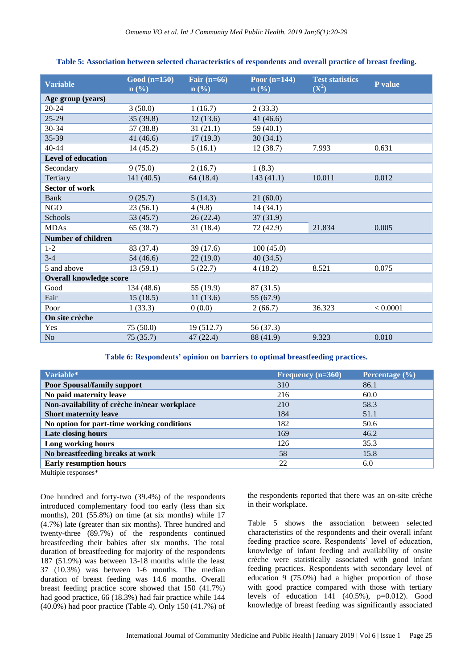| Good $(n=150)$<br>$\mathbf{n}(\%)$ | Fair $(n=66)$<br>$\mathbf{n}(\%)$ | Poor $(n=144)$<br>$\mathbf{n}$ (%) | <b>Test statistics</b><br>$(X^2)$ | P value  |
|------------------------------------|-----------------------------------|------------------------------------|-----------------------------------|----------|
|                                    |                                   |                                    |                                   |          |
| 3(50.0)                            | 1(16.7)                           | 2(33.3)                            |                                   |          |
| 35(39.8)                           | 12(13.6)                          | 41 $(46.6)$                        |                                   |          |
| 57 (38.8)                          | 31(21.1)                          | 59 (40.1)                          |                                   |          |
| 41 $(46.6)$                        | 17(19.3)                          | 30(34.1)                           |                                   |          |
| 14(45.2)                           | 5(16.1)                           | 12(38.7)                           | 7.993                             | 0.631    |
|                                    |                                   |                                    |                                   |          |
| 9(75.0)                            | 2(16.7)                           | 1(8.3)                             |                                   |          |
| 141 (40.5)                         | 64(18.4)                          | 143 (41.1)                         | 10.011                            | 0.012    |
|                                    |                                   |                                    |                                   |          |
| 9(25.7)                            | 5(14.3)                           | 21(60.0)                           |                                   |          |
| 23(56.1)                           | 4(9.8)                            | 14(34.1)                           |                                   |          |
| 53 (45.7)                          | 26(22.4)                          | 37(31.9)                           |                                   |          |
| 65 (38.7)                          | 31(18.4)                          | 72 (42.9)                          | 21.834                            | 0.005    |
|                                    |                                   |                                    |                                   |          |
| 83 (37.4)                          | 39 (17.6)                         | 100(45.0)                          |                                   |          |
| 54 (46.6)                          | 22(19.0)                          | 40(34.5)                           |                                   |          |
| 13(59.1)                           | 5(22.7)                           | 4(18.2)                            | 8.521                             | 0.075    |
| <b>Overall knowledge score</b>     |                                   |                                    |                                   |          |
| 134 (48.6)                         | 55 (19.9)                         | 87 (31.5)                          |                                   |          |
| 15(18.5)                           | 11(13.6)                          | 55 (67.9)                          |                                   |          |
| 1(33.3)                            | 0(0.0)                            | 2(66.7)                            | 36.323                            | < 0.0001 |
|                                    |                                   |                                    |                                   |          |
| 75(50.0)                           | 19(512.7)                         | 56 (37.3)                          |                                   |          |
| 75(35.7)                           | 47 (22.4)                         | 88 (41.9)                          | 9.323                             | 0.010    |
|                                    |                                   |                                    |                                   |          |

## **Table 5: Association between selected characteristics of respondents and overall practice of breast feeding.**

**Table 6: Respondents' opinion on barriers to optimal breastfeeding practices.**

| Frequency $(n=360)$ | Percentage (%) |
|---------------------|----------------|
| 310                 | 86.1           |
| 216                 | 60.0           |
| 210                 | 58.3           |
| 184                 | 51.1           |
| 182                 | 50.6           |
| 169                 | 46.2           |
| 126                 | 35.3           |
| 58                  | 15.8           |
| 22                  | 6.0            |
|                     |                |

Multiple responses\*

One hundred and forty-two (39.4%) of the respondents introduced complementary food too early (less than six months), 201 (55.8%) on time (at six months) while 17 (4.7%) late (greater than six months). Three hundred and twenty-three (89.7%) of the respondents continued breastfeeding their babies after six months. The total duration of breastfeeding for majority of the respondents 187 (51.9%) was between 13-18 months while the least 37 (10.3%) was between 1-6 months. The median duration of breast feeding was 14.6 months. Overall breast feeding practice score showed that 150 (41.7%) had good practice, 66 (18.3%) had fair practice while 144 (40.0%) had poor practice (Table 4). Only 150 (41.7%) of the respondents reported that there was an on-site crèche in their workplace.

Table 5 shows the association between selected characteristics of the respondents and their overall infant feeding practice score. Respondents' level of education, knowledge of infant feeding and availability of onsite crèche were statistically associated with good infant feeding practices. Respondents with secondary level of education 9 (75.0%) had a higher proportion of those with good practice compared with those with tertiary levels of education  $141 (40.5\%)$ ,  $p=0.012$ ). Good knowledge of breast feeding was significantly associated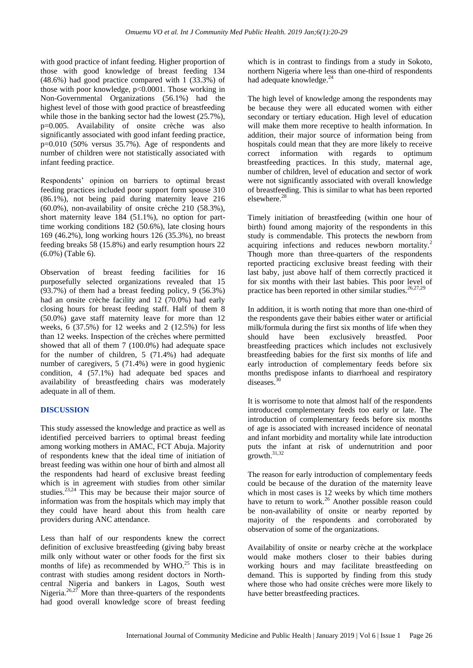with good practice of infant feeding. Higher proportion of those with good knowledge of breast feeding 134 (48.6%) had good practice compared with 1 (33.3%) of those with poor knowledge, p<0.0001. Those working in Non-Governmental Organizations (56.1%) had the highest level of those with good practice of breastfeeding while those in the banking sector had the lowest  $(25.7\%)$ , p=0.005. Availability of onsite crèche was also significantly associated with good infant feeding practice, p=0.010 (50% versus 35.7%). Age of respondents and number of children were not statistically associated with infant feeding practice.

Respondents' opinion on barriers to optimal breast feeding practices included poor support form spouse 310 (86.1%), not being paid during maternity leave 216 (60.0%), non-availability of onsite crèche 210 (58.3%), short maternity leave 184 (51.1%), no option for parttime working conditions 182 (50.6%), late closing hours 169 (46.2%), long working hours 126 (35.3%), no breast feeding breaks 58 (15.8%) and early resumption hours 22 (6.0%) (Table 6).

Observation of breast feeding facilities for 16 purposefully selected organizations revealed that 15  $(93.7%)$  of them had a breast feeding policy, 9 (56.3%) had an onsite crèche facility and 12 (70.0%) had early closing hours for breast feeding staff. Half of them 8 (50.0%) gave staff maternity leave for more than 12 weeks, 6 (37.5%) for 12 weeks and 2 (12.5%) for less than 12 weeks. Inspection of the crèches where permitted showed that all of them 7 (100.0%) had adequate space for the number of children, 5 (71.4%) had adequate number of caregivers, 5 (71.4%) were in good hygienic condition, 4 (57.1%) had adequate bed spaces and availability of breastfeeding chairs was moderately adequate in all of them.

## **DISCUSSION**

This study assessed the knowledge and practice as well as identified perceived barriers to optimal breast feeding among working mothers in AMAC, FCT Abuja. Majority of respondents knew that the ideal time of initiation of breast feeding was within one hour of birth and almost all the respondents had heard of exclusive breast feeding which is in agreement with studies from other similar studies. $23,24$  This may be because their major source of information was from the hospitals which may imply that they could have heard about this from health care providers during ANC attendance.

Less than half of our respondents knew the correct definition of exclusive breastfeeding (giving baby breast milk only without water or other foods for the first six months of life) as recommended by WHO.<sup>25</sup> This is in contrast with studies among resident doctors in Northcentral Nigeria and bankers in Lagos, South west Nigeria.<sup>26,27</sup> More than three-quarters of the respondents had good overall knowledge score of breast feeding which is in contrast to findings from a study in Sokoto, northern Nigeria where less than one-third of respondents had adequate knowledge.<sup>24</sup>

The high level of knowledge among the respondents may be because they were all educated women with either secondary or tertiary education. High level of education will make them more receptive to health information. In addition, their major source of information being from hospitals could mean that they are more likely to receive correct information with regards to optimum breastfeeding practices. In this study, maternal age, number of children, level of education and sector of work were not significantly associated with overall knowledge of breastfeeding. This is similar to what has been reported elsewhere.<sup>28</sup>

Timely initiation of breastfeeding (within one hour of birth) found among majority of the respondents in this study is commendable. This protects the newborn from acquiring infections and reduces newborn mortality.<sup>2</sup> Though more than three-quarters of the respondents reported practicing exclusive breast feeding with their last baby, just above half of them correctly practiced it for six months with their last babies. This poor level of practice has been reported in other similar studies.<sup>26,27,29</sup>

In addition, it is worth noting that more than one-third of the respondents gave their babies either water or artificial milk/formula during the first six months of life when they should have been exclusively breastfed. Poor breastfeeding practices which includes not exclusively breastfeeding babies for the first six months of life and early introduction of complementary feeds before six months predispose infants to diarrhoeal and respiratory diseases.<sup>30</sup>

It is worrisome to note that almost half of the respondents introduced complementary feeds too early or late. The introduction of complementary feeds before six months of age is associated with increased incidence of neonatal and infant morbidity and mortality while late introduction puts the infant at risk of undernutrition and poor  $\frac{1}{2}$ growth.<sup>31,32</sup>

The reason for early introduction of complementary feeds could be because of the duration of the maternity leave which in most cases is 12 weeks by which time mothers have to return to work.<sup>26</sup> Another possible reason could be non-availability of onsite or nearby reported by majority of the respondents and corroborated by observation of some of the organizations.

Availability of onsite or nearby crèche at the workplace would make mothers closer to their babies during working hours and may facilitate breastfeeding on demand. This is supported by finding from this study where those who had onsite crèches were more likely to have better breastfeeding practices.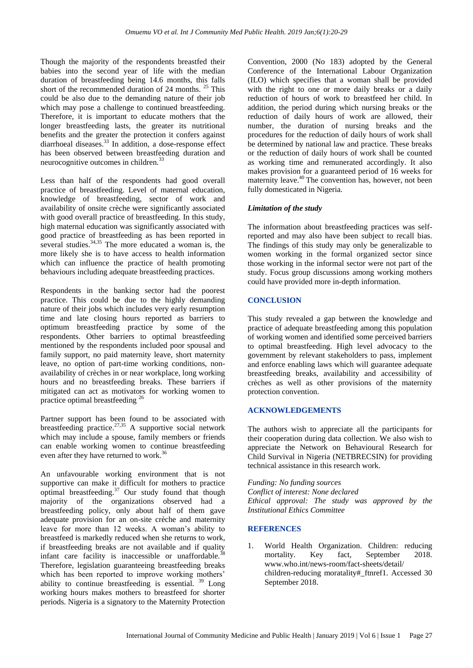Though the majority of the respondents breastfed their babies into the second year of life with the median duration of breastfeeding being 14.6 months, this falls short of the recommended duration of 24 months. <sup>25</sup> This could be also due to the demanding nature of their job which may pose a challenge to continued breastfeeding. Therefore, it is important to educate mothers that the longer breastfeeding lasts, the greater its nutritional benefits and the greater the protection it confers against diarrhoeal diseases.<sup>33</sup> In addition, a dose-response effect has been observed between breastfeeding duration and neurocognitive outcomes in children.<sup>33</sup>

Less than half of the respondents had good overall practice of breastfeeding. Level of maternal education, knowledge of breastfeeding, sector of work and availability of onsite crèche were significantly associated with good overall practice of breastfeeding. In this study, high maternal education was significantly associated with good practice of breastfeeding as has been reported in several studies. $34,35$  The more educated a woman is, the more likely she is to have access to health information which can influence the practice of health promoting behaviours including adequate breastfeeding practices.

Respondents in the banking sector had the poorest practice. This could be due to the highly demanding nature of their jobs which includes very early resumption time and late closing hours reported as barriers to optimum breastfeeding practice by some of the respondents. Other barriers to optimal breastfeeding mentioned by the respondents included poor spousal and family support, no paid maternity leave, short maternity leave, no option of part-time working conditions, nonavailability of crèches in or near workplace, long working hours and no breastfeeding breaks. These barriers if mitigated can act as motivators for working women to practice optimal breastfeeding <sup>26</sup>

Partner support has been found to be associated with breastfeeding practice.<sup>27,35</sup> A supportive social network which may include a spouse, family members or friends can enable working women to continue breastfeeding even after they have returned to work.<sup>36</sup>

An unfavourable working environment that is not supportive can make it difficult for mothers to practice optimal breastfeeding. $37$  Our study found that though majority of the organizations observed had a breastfeeding policy, only about half of them gave adequate provision for an on-site crèche and maternity leave for more than 12 weeks. A woman's ability to breastfeed is markedly reduced when she returns to work, if breastfeeding breaks are not available and if quality infant care facility is inaccessible or unaffordable.<sup>38</sup> Therefore, legislation guaranteeing breastfeeding breaks which has been reported to improve working mothers' ability to continue breastfeeding is essential.  $39$  Long working hours makes mothers to breastfeed for shorter periods. Nigeria is a signatory to the Maternity Protection Convention, 2000 (No 183) adopted by the General Conference of the International Labour Organization (ILO) which specifies that a woman shall be provided with the right to one or more daily breaks or a daily reduction of hours of work to breastfeed her child. In addition, the period during which nursing breaks or the reduction of daily hours of work are allowed, their number, the duration of nursing breaks and the procedures for the reduction of daily hours of work shall be determined by national law and practice. These breaks or the reduction of daily hours of work shall be counted as working time and remunerated accordingly. It also makes provision for a guaranteed period of 16 weeks for maternity leave.<sup>40</sup> The convention has, however, not been fully domesticated in Nigeria.

## *Limitation of the study*

The information about breastfeeding practices was selfreported and may also have been subject to recall bias. The findings of this study may only be generalizable to women working in the formal organized sector since those working in the informal sector were not part of the study. Focus group discussions among working mothers could have provided more in-depth information.

## **CONCLUSION**

This study revealed a gap between the knowledge and practice of adequate breastfeeding among this population of working women and identified some perceived barriers to optimal breastfeeding. High level advocacy to the government by relevant stakeholders to pass, implement and enforce enabling laws which will guarantee adequate breastfeeding breaks, availability and accessibility of crèches as well as other provisions of the maternity protection convention.

## **ACKNOWLEDGEMENTS**

The authors wish to appreciate all the participants for their cooperation during data collection. We also wish to appreciate the Network on Behavioural Research for Child Survival in Nigeria (NETBRECSIN) for providing technical assistance in this research work.

*Funding: No funding sources Conflict of interest: None declared Ethical approval: The study was approved by the Institutional Ethics Committee*

# **REFERENCES**

1. World Health Organization. Children: reducing mortality. Key fact, September 2018. www.who.int/news-room/fact-sheets/detail/ children-reducing moratality#\_ftnref1. Accessed 30 September 2018.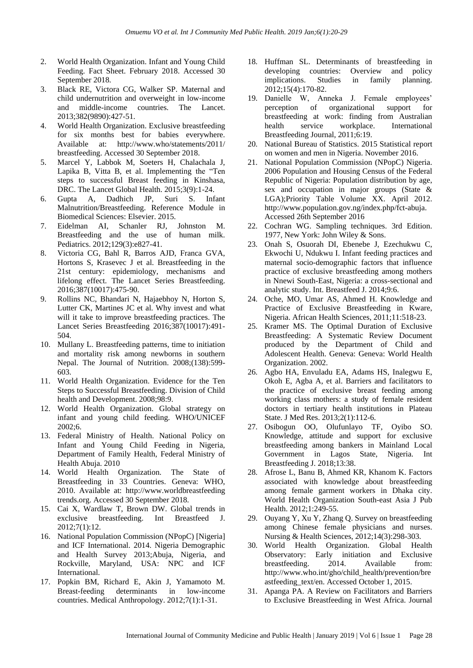- 2. World Health Organization. Infant and Young Child Feeding. Fact Sheet. February 2018. Accessed 30 September 2018.
- 3. Black RE, Victora CG, Walker SP. Maternal and child undernutrition and overweight in low-income and middle-income countries. The Lancet. 2013;382(9890):427-51.
- 4. World Health Organization. Exclusive breastfeeding for six months best for babies everywhere. Available at: http://www.who/statements/2011/ breastfeeding. Accessed 30 September 2018.
- 5. Marcel Y, Labbok M, Soeters H, Chalachala J, Lapika B, Vitta B, et al. Implementing the "Ten steps to successful Breast feeding in Kinshasa, DRC. The Lancet Global Health. 2015;3(9):1-24.
- 6. Gupta A, Dadhich JP, Suri S. Infant Malnutrition/Breastfeeding. Reference Module in Biomedical Sciences: Elsevier. 2015.
- 7. Eidelman AI, Schanler RJ, Johnston M. Breastfeeding and the use of human milk. Pediatrics. 2012;129(3):e827-41.
- 8. Victoria CG, Bahl R, Barros AJD, Franca GVA, Hortons S, Krasevec J et al. Breastfeeding in the 21st century: epidemiology, mechanisms and lifelong effect. The Lancet Series Breastfeeding. 2016;387(10017):475-90.
- 9. Rollins NC, Bhandari N, Hajaebhoy N, Horton S, Lutter CK, Martines JC et al. Why invest and what will it take to improve breastfeeding practices. The Lancet Series Breastfeeding 2016;387(10017):491- 504.
- 10. Mullany L. Breastfeeding patterns, time to initiation and mortality risk among newborns in southern Nepal. The Journal of Nutrition. 2008;(138):599- 603.
- 11. World Health Organization. Evidence for the Ten Steps to Successful Breastfeeding. Division of Child health and Development. 2008;98:9.
- 12. World Health Organization. Global strategy on infant and young child feeding. WHO/UNICEF 2002;6.
- 13. Federal Ministry of Health. National Policy on Infant and Young Child Feeding in Nigeria, Department of Family Health, Federal Ministry of Health Abuja. 2010
- 14. World Health Organization. The State of Breastfeeding in 33 Countries. Geneva: WHO, 2010. Available at: http://www.worldbreastfeeding trends.org. Accessed 30 September 2018.
- 15. Cai X, Wardlaw T, Brown DW. Global trends in exclusive breastfeeding. Int Breastfeed J. 2012;7(1):12.
- 16. National Population Commission (NPopC) [Nigeria] and ICF International. 2014. Nigeria Demographic and Health Survey 2013;Abuja, Nigeria, and Rockville, Maryland, USA: NPC and ICF International.
- 17. Popkin BM, Richard E, Akin J, Yamamoto M. Breast-feeding determinants in low-income countries. Medical Anthropology. 2012;7(1):1-31.
- 18. Huffman SL. Determinants of breastfeeding in developing countries: Overview and policy implications. Studies in family planning. 2012;15(4):170-82.
- 19. Danielle W, Anneka J. Female employees' perception of organizational support for breastfeeding at work: finding from Australian health service workplace. International Breastfeeding Journal, 2011;6:19.
- 20. National Bureau of Statistics. 2015 Statistical report on women and men in Nigeria. November 2016.
- 21. National Population Commission (NPopC) Nigeria. 2006 Population and Housing Census of the Federal Republic of Nigeria: Population distribution by age, sex and occupation in major groups (State & LGA);Priority Table Volume XX. April 2012. http://www.population.gov.ng/index.php/fct-abuja. Accessed 26th September 2016
- 22. Cochran WG. Sampling techniques. 3rd Edition. 1977, New York: John Wiley & Sons.
- 23. Onah S, Osuorah DI, Ebenebe J, Ezechukwu C, Ekwochi U, Ndukwu I. Infant feeding practices and maternal socio-demographic factors that influence practice of exclusive breastfeeding among mothers in Nnewi South-East, Nigeria: a cross-sectional and analytic study. Int. Breastfeed J. 2014;9:6.
- 24. Oche, MO, Umar AS, Ahmed H. Knowledge and Practice of Exclusive Breastfeeding in Kware, Nigeria. African Health Sciences, 2011;11:518-23.
- 25. Kramer MS. The Optimal Duration of Exclusive Breastfeeding: A Systematic Review Document produced by the Department of Child and Adolescent Health. Geneva: Geneva: World Health Organization. 2002.
- 26. Agbo HA, Envuladu EA, Adams HS, Inalegwu E, Okoh E, Agba A, et al. Barriers and facilitators to the practice of exclusive breast feeding among working class mothers: a study of female resident doctors in tertiary health institutions in Plateau State. J Med Res. 2013;2(1):112-6.
- 27. Osibogun OO, Olufunlayo TF, Oyibo SO. Knowledge, attitude and support for exclusive breastfeeding among bankers in Mainland Local Government in Lagos State, Nigeria. Int Breastfeeding J. 2018;13:38.
- 28. Afrose L, Banu B, Ahmed KR, Khanom K. Factors associated with knowledge about breastfeeding among female garment workers in Dhaka city. World Health Organization South-east Asia J Pub Health. 2012;1:249-55.
- 29. Ouyang Y, Xu Y, Zhang Q. Survey on breastfeeding among Chinese female physicians and nurses. Nursing & Health Sciences, 2012;14(3):298-303.
- 30. World Health Organization. Global Health Observatory: Early initiation and Exclusive breastfeeding. 2014. Available from: http://www.who.int/gho/child\_health/prevention/bre astfeeding\_text/en. Accessed October 1, 2015.
- 31. Apanga PA. A Review on Facilitators and Barriers to Exclusive Breastfeeding in West Africa. Journal